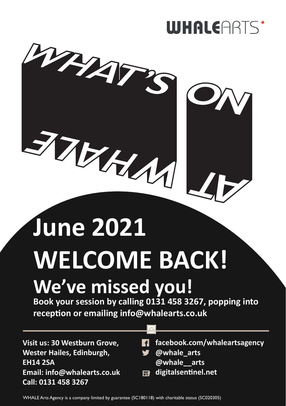

# **June 2021 WELCOME BACK!**

# **We've missed you!**

**Book your session by calling 0131 458 3267, popping into reception or emailing info@whalearts.co.uk**

**Visit us: 30 Westburn Grove, Wester Hailes, Edinburgh, EH14 2SA Email: info@whalearts.co.uk Call: 0131 458 3267**

- **f** facebook.com/whaleartsagency
- **@whale\_arts @whale\_\_arts**
- **digitalsentinel.net**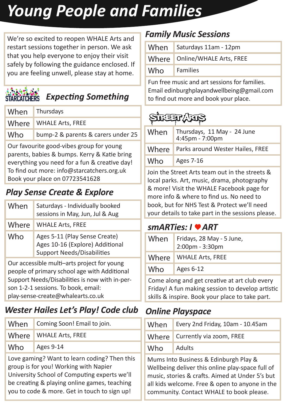# *Young People and Families*

We're so excited to reopen WHALE Arts and restart sessions together in person. We ask that you help everyone to enjoy their visit safely by following the guidance enclosed. If you are feeling unwell, please stay at home.

### **Expecting Something**

| When | Thursdays                          |
|------|------------------------------------|
|      | Where   WHALE Arts, FREE           |
| Who  | bump-2 & parents & carers under 25 |
|      |                                    |

Our favourite good-vibes group for young parents, babies & bumps. Kerry & Katie bring everything you need for a fun & creative day! To find out more: info@starcatchers.org.uk Book your place on 07723541628

#### *Play Sense Create & Explore*

| When                                                                                                                                                                                 | Saturdays - Individually booked<br>sessions in May, Jun, Jul & Aug                                    |
|--------------------------------------------------------------------------------------------------------------------------------------------------------------------------------------|-------------------------------------------------------------------------------------------------------|
| Where                                                                                                                                                                                | <b>WHALE Arts, FREE</b>                                                                               |
| Who                                                                                                                                                                                  | Ages 5-11 (Play Sense Create)<br>Ages 10-16 (Explore) Additional<br><b>Support Needs/Disabilities</b> |
| Our accessible multi-arts project for young<br>people of primary school age with Additional<br>Support Needs/Disabilities is now with in-per-<br>son 1-2-1 sessions. To book, email: |                                                                                                       |

play-sense-create@whalearts.co.uk

#### *Wester Hailes Let's Play! Code club*

| When                                                                                                                                  | Coming Soon! Email to join. |  |
|---------------------------------------------------------------------------------------------------------------------------------------|-----------------------------|--|
| Where                                                                                                                                 | <b>WHALE Arts, FREE</b>     |  |
| Who                                                                                                                                   | Ages 9-14                   |  |
| Love gaming? Want to learn coding? Then this<br>group is for you! Working with Napier<br>University School of Computing experts we'll |                             |  |

University School of Computing experts we'll be creating & playing online games, teaching you to code & more. Get in touch to sign up!

#### *Family Music Sessions*

| When | Saturdays 11am - 12pm           |
|------|---------------------------------|
|      | Where   Online/WHALE Arts, FREE |
| Who  | <b>Families</b>                 |

Fun free music and art sessions for families. Email edinburghplayandwellbeing@gmail.com to find out more and book your place.

### STREET ATES

| When  | Thursdays, 11 May - 24 June<br>$4:45$ pm - 7:00pm |
|-------|---------------------------------------------------|
| Where | Parks around Wester Hailes, FREE                  |
| Who   | Ages 7-16                                         |
|       |                                                   |

Join the Street Arts team out in the streets & local parks. Art, music, drama, photography & more! Visit the WHALE Facebook page for more info & where to find us. No need to book, but for NHS Test & Protect we'll need your details to take part in the sessions please.

#### *smARTies: I* ♥ *ART*

| When  | Fridays, 28 May - 5 June,<br>2:00pm - 3:30pm |
|-------|----------------------------------------------|
| Where | <b>WHALE Arts, FREE</b>                      |
| Who   | Ages 6-12                                    |
|       |                                              |

Come along and get creative at art club every Friday! A fun making session to develop artistic skills & inspire. Book your place to take part.

#### *Online Playspace*

| When | Every 2nd Friday, 10am - 10.45am |
|------|----------------------------------|
|      | Where   Currently via zoom, FREE |
| Who  | Adults                           |

Mums Into Business & Edinburgh Play & Wellbeing deliver this online play-space full of music, stories & crafts. Aimed at Under 5's but all kids welcome. Free & open to anyone in the community. Contact WHALE to book please.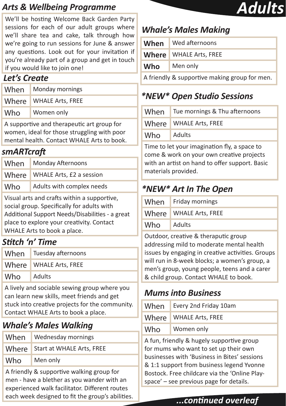#### *Arts & Wellbeing Programme*

We'll be hosting Welcome Back Garden Party sessions for each of our adult groups where we'll share tea and cake, talk through how we're going to run sessions for June & answer any questions. Look out for your invitation if you're already part of a group and get in touch if you would like to join one!

#### *Let's Create*

|                                            | When Monday mornings     |
|--------------------------------------------|--------------------------|
|                                            | Where   WHALE Arts, FREE |
| Who                                        | Women only               |
| A supportive and therapeutic art group for |                          |

eutic art gr women, ideal for those struggling with poor mental health. Contact WHALE Arts to book.

#### *smARTcraft*

| When                                                                                     | Monday Afternoons         |
|------------------------------------------------------------------------------------------|---------------------------|
| Where                                                                                    | WHALE Arts, £2 a session  |
| Who                                                                                      | Adults with complex needs |
| Visual arts and crafts within a supportive.<br>cocial group Specifically for adults with |                           |

social group. Specifically for adults with Additional Support Needs/Disabilities - a great place to explore your creativity. Contact WHALE Arts to book a place.

#### *Stitch 'n' Time*

|     | When Tuesday afternoons |
|-----|-------------------------|
|     | Where WHALE Arts, FREE  |
| Who | Adults                  |
|     |                         |

A lively and sociable sewing group where you can learn new skills, meet friends and get stuck into creative projects for the community. Contact WHALE Arts to book a place.

#### *Whale's Males Walking*

| When                                      | Wednesday mornings              |
|-------------------------------------------|---------------------------------|
|                                           | Where Start at WHALE Arts, FREE |
| Who                                       | Men only                        |
| A friandly 8 cunnartive walking group for |                                 |

A friendly & supportive walking group for men - have a blether as you wander with an experienced walk facilitator. Different routes each week designed to fit the group's abilities.



#### *Whale's Males Making*

| When                                          | Wed afternoons                |
|-----------------------------------------------|-------------------------------|
|                                               | <b>Where</b> WHALE Arts, FREE |
| Who                                           | Men only                      |
| A friendly & supportive making group for men. |                               |

#### *\*NEW\* Open Studio Sessions*

| When | Tue mornings & Thu afternoons |
|------|-------------------------------|
|      | Where WHALE Arts, FREE        |
| Who  | Adults                        |
|      |                               |

Time to let your imagination fly, a space to come & work on your own creative projects with an artist on hand to offer support. Basic materials provided.

#### *\*NEW\* Art In The Open*

|     | When Friday mornings   |
|-----|------------------------|
|     | Where WHALE Arts, FREE |
| Who | Adults                 |

Outdoor, creative & theraputic group addressing mild to moderate mental health issues by engaging in creative activities. Groups will run in 8-week blocks; a women's group, a men's group, young people, teens and a carer & child group. Contact WHALE to book.

#### *Mums into Business*

| When | Every 2nd Friday 10am    |
|------|--------------------------|
|      | Where   WHALE Arts, FREE |
| Who  | Women only               |
|      |                          |

A fun, friendly & hugely supportive group for mums who want to set up their own businesses with 'Business in Bites' sessions & 1:1 support from business legend Yvonne Bostock. Free childcare via the 'Online Playspace' – see previous page for details.

#### *...continued overleaf*